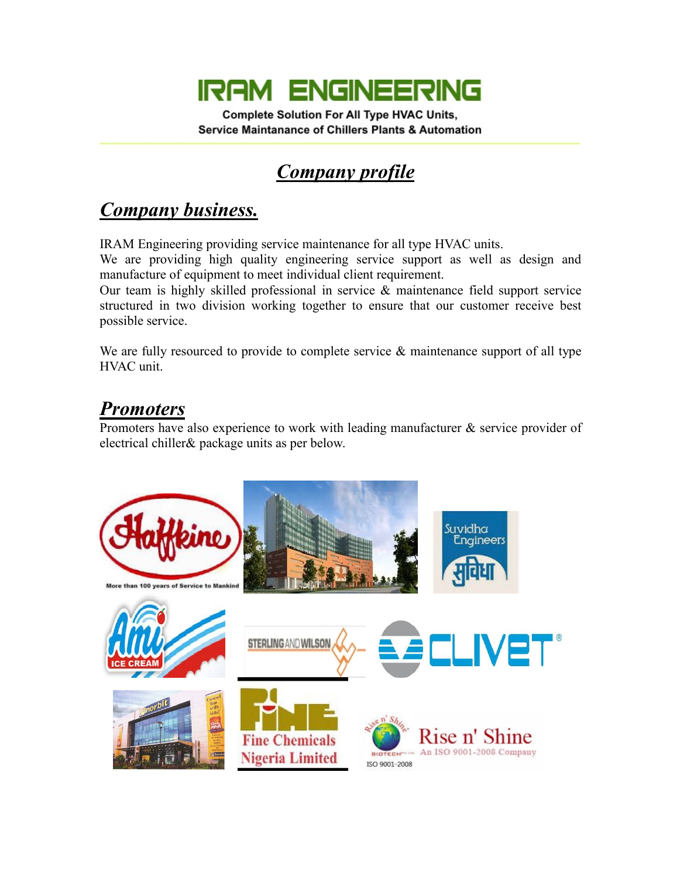# **IRAM ENGINEERING**

**Complete Solution For All Type HVAC Units, Service Maintanance of Chillers Plants & Automation** 

### *Company profile*

#### *Company business.*

IRAM Engineering providing service maintenance for all type HVAC units.

We are providing high quality engineering service support as well as design and manufacture of equipment to meet individual client requirement.

Our team is highly skilled professional in service & maintenance field support service structured in two division working together to ensure that our customer receive best possible service.

We are fully resourced to provide to complete service & maintenance support of all type HVAC unit.

#### *Promoters*

Promoters have also experience to work with leading manufacturer & service provider of electrical chiller& package units as per below.

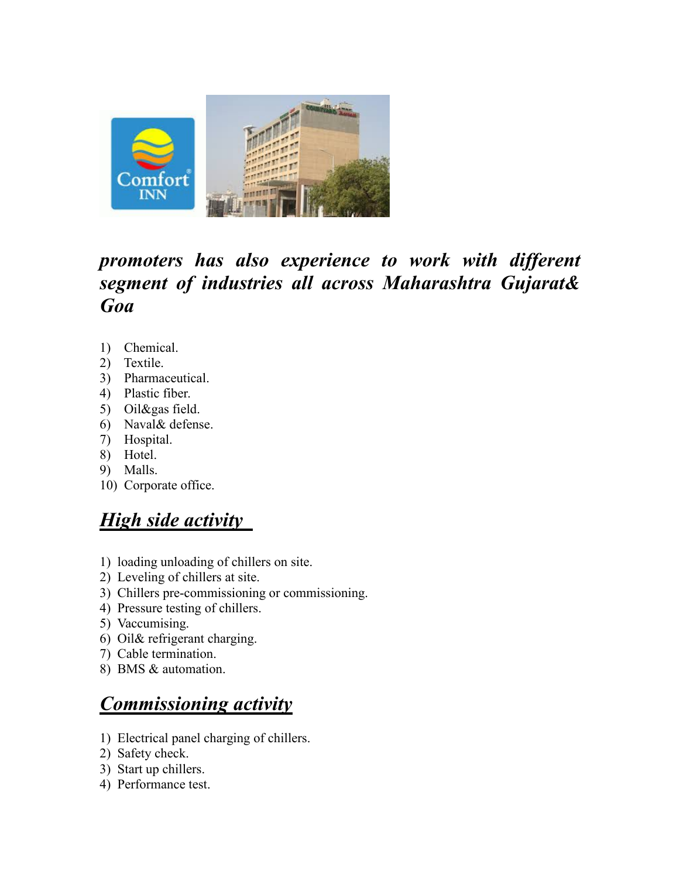

#### *promoters has also experience to work with different segment of industries all across Maharashtra Gujarat& Goa*

- 1) Chemical.
- 2) Textile.
- 3) Pharmaceutical.
- 4) Plastic fiber.
- 5) Oil&gas field.
- 6) Naval& defense.
- 7) Hospital.
- 8) Hotel.
- 9) Malls.
- 10) Corporate office.

#### *High side activity*

- 1) loading unloading of chillers on site.
- 2) Leveling of chillers at site.
- 3) Chillers pre-commissioning or commissioning.
- 4) Pressure testing of chillers.
- 5) Vaccumising.
- 6) Oil& refrigerant charging.
- 7) Cable termination.
- 8) BMS & automation.

#### *Commissioning activity*

- 1) Electrical panel charging of chillers.
- 2) Safety check.
- 3) Start up chillers.
- 4) Performance test.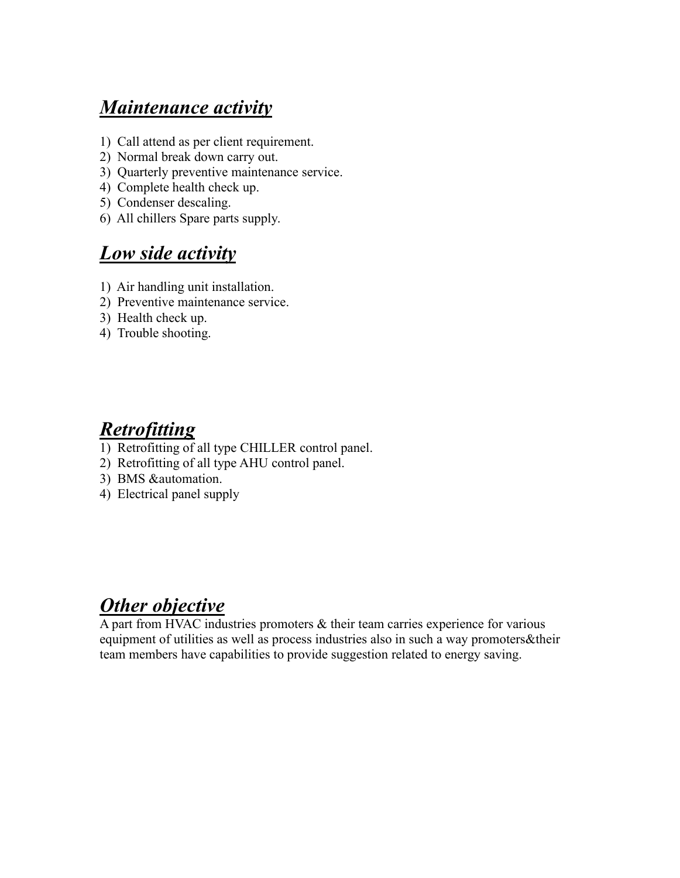#### *Maintenance activity*

- 1) Call attend as per client requirement.
- 2) Normal break down carry out.
- 3) Quarterly preventive maintenance service.
- 4) Complete health check up.
- 5) Condenser descaling.
- 6) All chillers Spare parts supply.

#### *Low side activity*

- 1) Air handling unit installation.
- 2) Preventive maintenance service.
- 3) Health check up.
- 4) Trouble shooting.

#### *Retrofitting*

- 1) Retrofitting of all type CHILLER control panel.
- 2) Retrofitting of all type AHU control panel.
- 3) BMS &automation.
- 4) Electrical panel supply

#### *Other objective*

A part from HVAC industries promoters & their team carries experience for various equipment of utilities as well as process industries also in such a way promoters&their team members have capabilities to provide suggestion related to energy saving.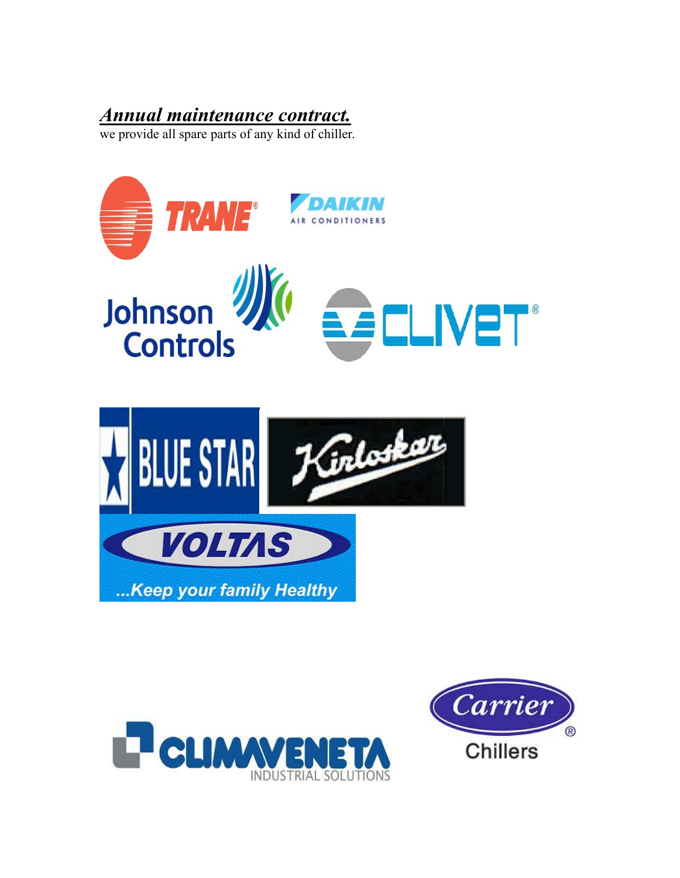#### *Annual maintenance contract.*

we provide all spare parts of any kind of chiller.





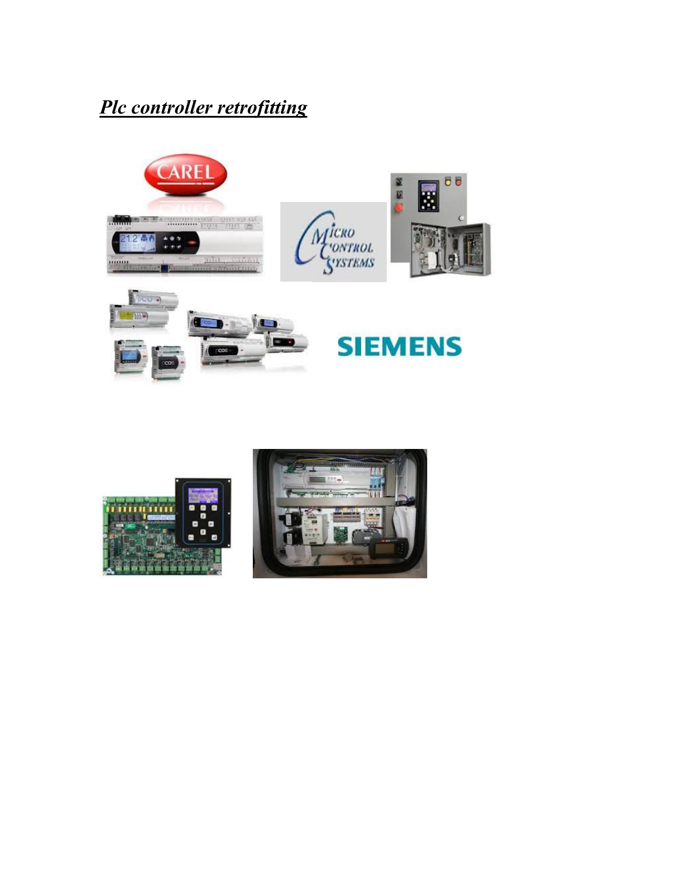### *Plc controller retrofitting*





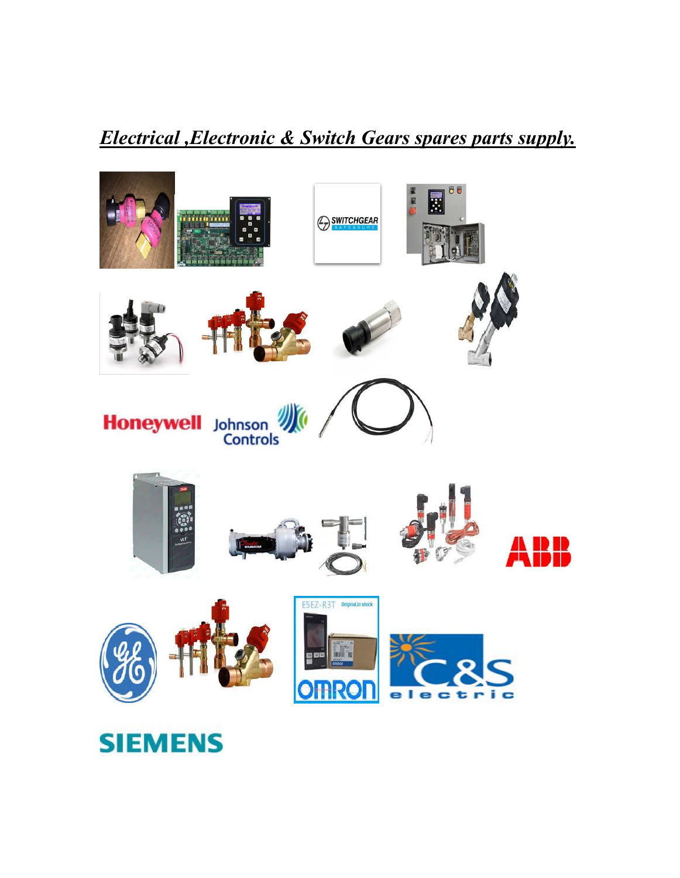#### *Electrical ,Electronic & Switch Gears spares parts supply.*



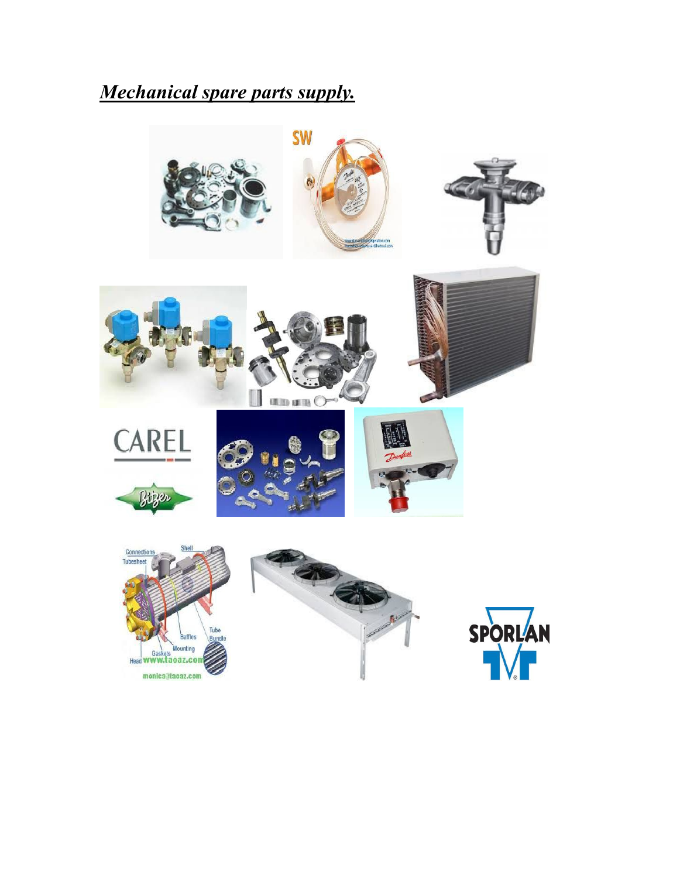#### *Mechanical spare parts supply.*

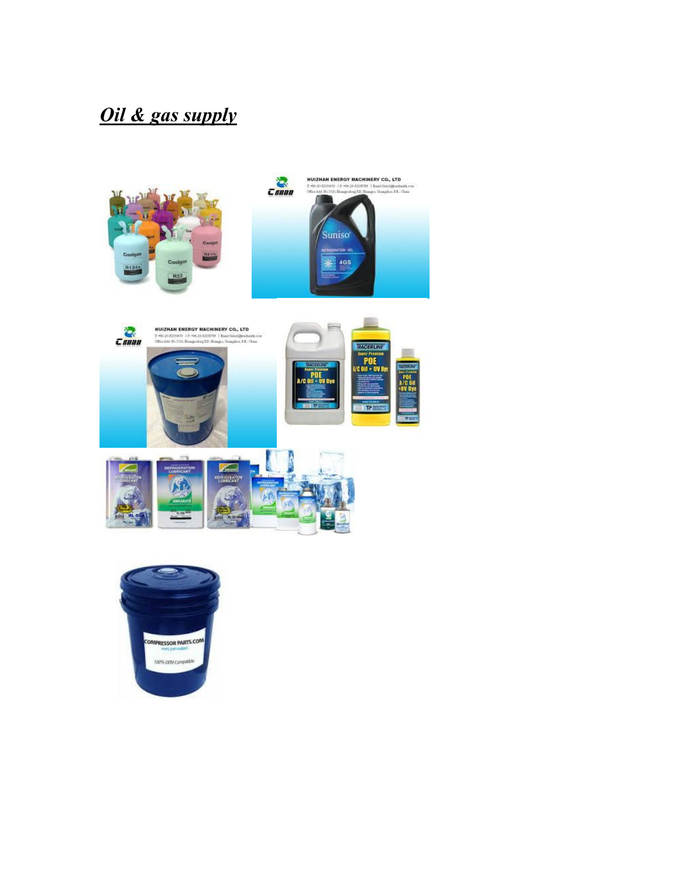### *Oil & gas supply*







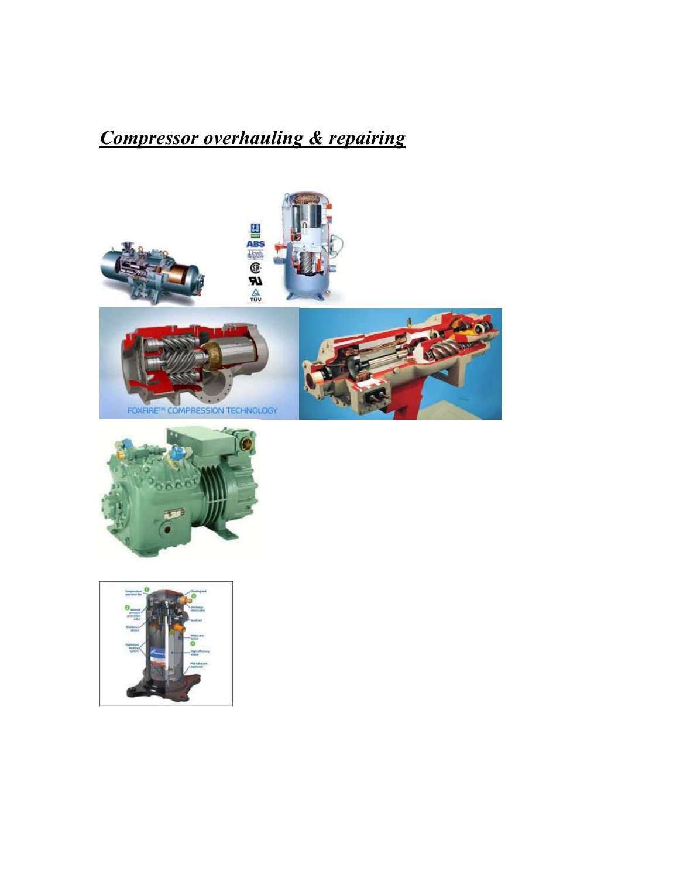## *Compressor overhauling & repairing*











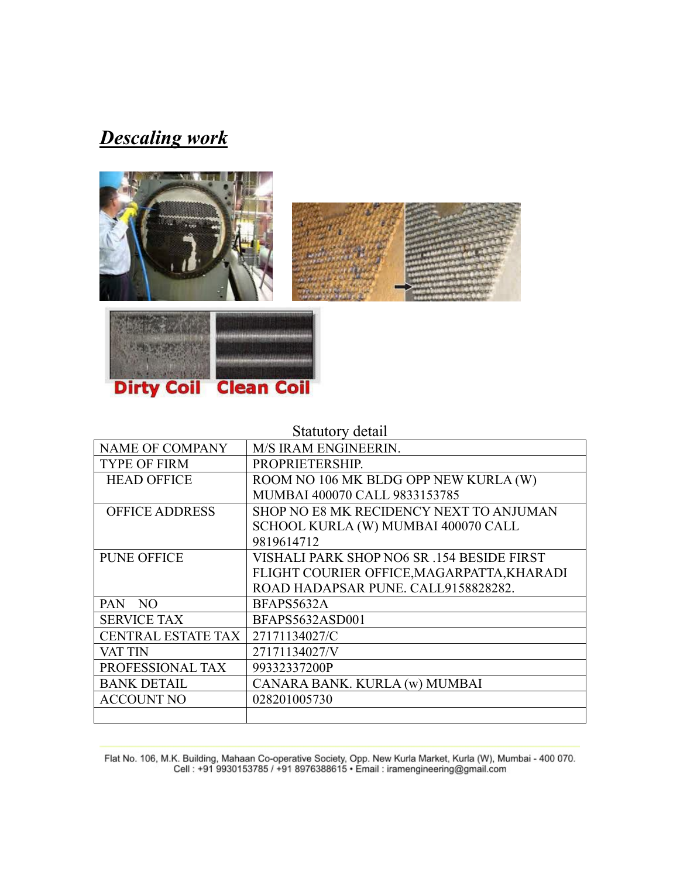#### *Descaling work*







#### Statutory detail

| <b>NAME OF COMPANY</b>    | M/S IRAM ENGINEERIN.                       |
|---------------------------|--------------------------------------------|
| <b>TYPE OF FIRM</b>       | PROPRIETERSHIP.                            |
| <b>HEAD OFFICE</b>        | ROOM NO 106 MK BLDG OPP NEW KURLA (W)      |
|                           | MUMBAI 400070 CALL 9833153785              |
| <b>OFFICE ADDRESS</b>     | SHOP NO E8 MK RECIDENCY NEXT TO ANJUMAN    |
|                           | SCHOOL KURLA (W) MUMBAI 400070 CALL        |
|                           | 9819614712                                 |
| <b>PUNE OFFICE</b>        | VISHALI PARK SHOP NO6 SR .154 BESIDE FIRST |
|                           | FLIGHT COURIER OFFICE, MAGARPATTA, KHARADI |
|                           | ROAD HADAPSAR PUNE. CALL9158828282.        |
| PAN NO                    | BFAPS5632A                                 |
| <b>SERVICE TAX</b>        | BFAPS5632ASD001                            |
| <b>CENTRAL ESTATE TAX</b> | 27171134027/C                              |
| VAT TIN                   | 27171134027/V                              |
| PROFESSIONAL TAX          | 99332337200P                               |
| <b>BANK DETAIL</b>        | CANARA BANK. KURLA (w) MUMBAI              |
| <b>ACCOUNT NO</b>         | 028201005730                               |
|                           |                                            |

Flat No. 106, M.K. Building, Mahaan Co-operative Society, Opp. New Kurla Market, Kurla (W), Mumbai - 400 070.<br>Cell : +91 9930153785 / +91 8976388615 • Email : iramengineering@gmail.com